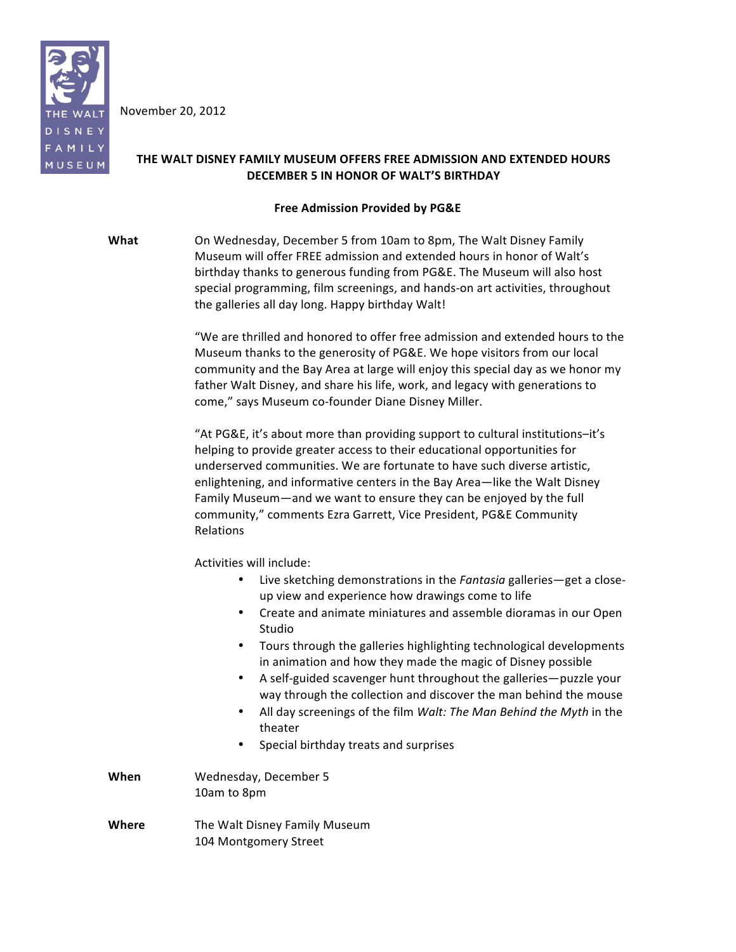

November 20, 2012

# THE WALT DISNEY FAMILY MUSEUM OFFERS FREE ADMISSION AND EXTENDED HOURS **DECEMBER 5 IN HONOR OF WALT'S BIRTHDAY**

# **Free Admission Provided by PG&E**

**What** On Wednesday, December 5 from 10am to 8pm, The Walt Disney Family Museum will offer FREE admission and extended hours in honor of Walt's birthday thanks to generous funding from PG&E. The Museum will also host special programming, film screenings, and hands-on art activities, throughout the galleries all day long. Happy birthday Walt!

> "We are thrilled and honored to offer free admission and extended hours to the Museum thanks to the generosity of PG&E. We hope visitors from our local community and the Bay Area at large will enjoy this special day as we honor my father Walt Disney, and share his life, work, and legacy with generations to come," says Museum co-founder Diane Disney Miller.

"At PG&E, it's about more than providing support to cultural institutions–it's helping to provide greater access to their educational opportunities for underserved communities. We are fortunate to have such diverse artistic, enlightening, and informative centers in the Bay Area—like the Walt Disney Family Museum—and we want to ensure they can be enjoyed by the full community," comments Ezra Garrett, Vice President, PG&E Community Relations

Activities will include:

- Live sketching demonstrations in the *Fantasia* galleries—get a closeup view and experience how drawings come to life
- Create and animate miniatures and assemble dioramas in our Open Studio
- Tours through the galleries highlighting technological developments in animation and how they made the magic of Disney possible
- A self-guided scavenger hunt throughout the galleries—puzzle your way through the collection and discover the man behind the mouse
- All day screenings of the film *Walt: The Man Behind the Myth* in the theater
- Special birthday treats and surprises
- **When** Wednesday, December 5 10am to 8pm
- **Where** The Walt Disney Family Museum 104 Montgomery Street